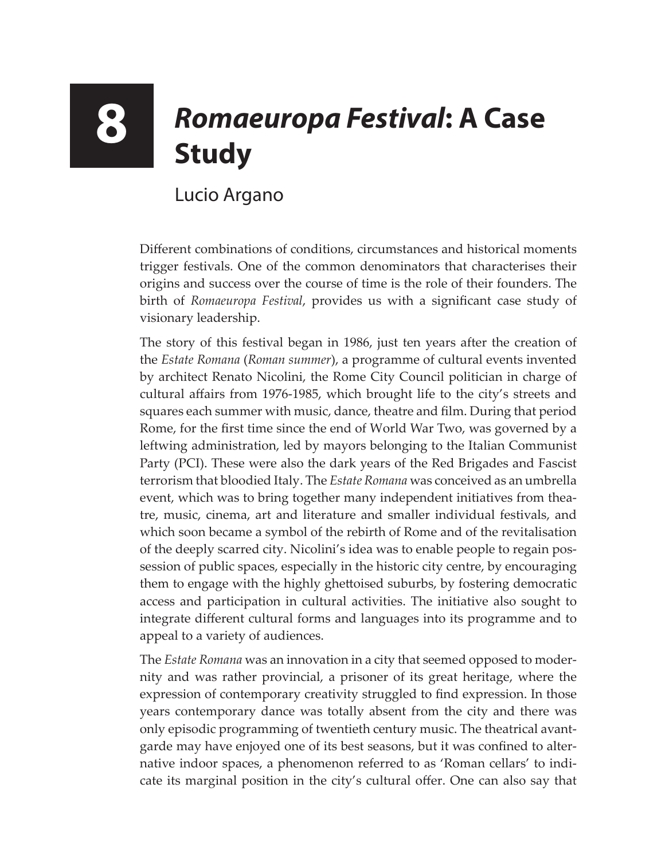## **8** *Romaeuropa Festival***: A Case Study**

## Lucio Argano

Different combinations of conditions, circumstances and historical moments trigger festivals. One of the common denominators that characterises their origins and success over the course of time is the role of their founders. The birth of *Romaeuropa Festival*, provides us with a significant case study of visionary leadership.

The story of this festival began in 1986, just ten years after the creation of the *Estate Romana* (*Roman summer*), a programme of cultural events invented by architect Renato Nicolini, the Rome City Council politician in charge of cultural affairs from 1976-1985, which brought life to the city's streets and squares each summer with music, dance, theatre and film. During that period Rome, for the first time since the end of World War Two, was governed by a leftwing administration, led by mayors belonging to the Italian Communist Party (PCI). These were also the dark years of the Red Brigades and Fascist terrorism that bloodied Italy. The *Estate Romana* was conceived as an umbrella event, which was to bring together many independent initiatives from theatre, music, cinema, art and literature and smaller individual festivals, and which soon became a symbol of the rebirth of Rome and of the revitalisation of the deeply scarred city. Nicolini's idea was to enable people to regain possession of public spaces, especially in the historic city centre, by encouraging them to engage with the highly ghettoised suburbs, by fostering democratic access and participation in cultural activities. The initiative also sought to integrate different cultural forms and languages into its programme and to appeal to a variety of audiences.

The *Estate Romana* was an innovation in a city that seemed opposed to modernity and was rather provincial, a prisoner of its great heritage, where the expression of contemporary creativity struggled to find expression. In those years contemporary dance was totally absent from the city and there was only episodic programming of twentieth century music. The theatrical avantgarde may have enjoyed one of its best seasons, but it was confined to alternative indoor spaces, a phenomenon referred to as 'Roman cellars' to indicate its marginal position in the city's cultural offer. One can also say that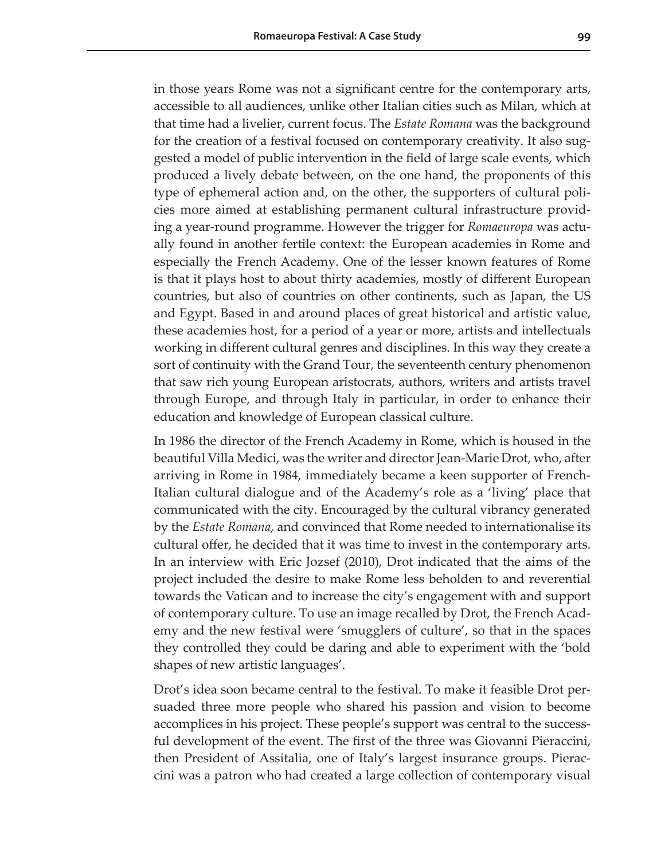in those years Rome was not a significant centre for the contemporary arts, accessible to all audiences, unlike other Italian cities such as Milan, which at that time had a livelier, current focus. The *Estate Romana* was the background for the creation of a festival focused on contemporary creativity. It also suggested a model of public intervention in the field of large scale events, which produced a lively debate between, on the one hand, the proponents of this type of ephemeral action and, on the other, the supporters of cultural policies more aimed at establishing permanent cultural infrastructure providing a year-round programme. However the trigger for *Romaeuropa* was actually found in another fertile context: the European academies in Rome and especially the French Academy. One of the lesser known features of Rome is that it plays host to about thirty academies, mostly of different European countries, but also of countries on other continents, such as Japan, the US and Egypt. Based in and around places of great historical and artistic value, these academies host, for a period of a year or more, artists and intellectuals working in different cultural genres and disciplines. In this way they create a sort of continuity with the Grand Tour, the seventeenth century phenomenon that saw rich young European aristocrats, authors, writers and artists travel through Europe, and through Italy in particular, in order to enhance their education and knowledge of European classical culture.

In 1986 the director of the French Academy in Rome, which is housed in the beautiful Villa Medici, was the writer and director Jean-Marie Drot, who, after arriving in Rome in 1984, immediately became a keen supporter of French-Italian cultural dialogue and of the Academy's role as a 'living' place that communicated with the city. Encouraged by the cultural vibrancy generated by the *Estate Romana*, and convinced that Rome needed to internationalise its cultural offer, he decided that it was time to invest in the contemporary arts. In an interview with Eric Jozsef (2010), Drot indicated that the aims of the project included the desire to make Rome less beholden to and reverential towards the Vatican and to increase the city's engagement with and support of contemporary culture. To use an image recalled by Drot, the French Academy and the new festival were 'smugglers of culture', so that in the spaces they controlled they could be daring and able to experiment with the 'bold shapes of new artistic languages'.

Drot's idea soon became central to the festival. To make it feasible Drot persuaded three more people who shared his passion and vision to become accomplices in his project. These people's support was central to the successful development of the event. The first of the three was Giovanni Pieraccini, then President of Assitalia, one of Italy's largest insurance groups. Pieraccini was a patron who had created a large collection of contemporary visual